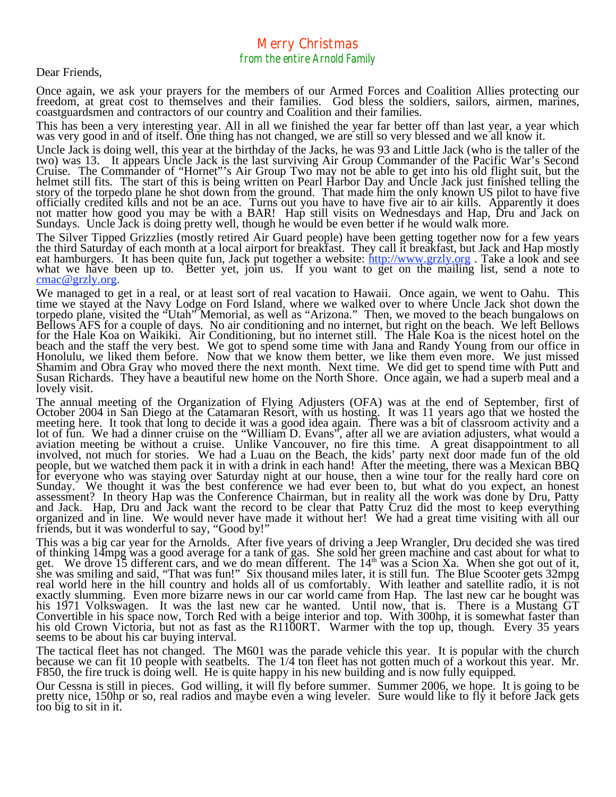## Merry Christmas from the entire Arnold Family

Dear Friends,

Once again, we ask your prayers for the members of our Armed Forces and Coalition Allies protecting our freedom, at great cost to themselves and their families. God bless the soldiers, sailors, airmen, marines, coastguardsmen and contractors of our country and Coalition and their families.

This has been a very interesting year. All in all we finished the year far better off than last year, a year which was very good in and of itself. One thing has not changed, we are still so very blessed and we all know it.

Uncle Jack is doing well, this year at the birthday of the Jacks, he was 93 and Little Jack (who is the taller of the two) was 13. It appears Uncle Jack is the last surviving Air Group Commander of the Pacific War's Second Cruise. The Commander of "Hornet"'s Air Group Two may not be able to get into his old flight suit, but the helmet still fits. The start of this is being written on Pearl Harbor Day and Uncle Jack just finished telling the

The Silver Tipped Grizzlies (mostly retired Air Guard people) have been getting together now for a few years the third Saturday of each month at a local airport for breakfast. They call it breakfast, but Jack and Hap mostly eat hamburgers. It has been quite fun, Jack put together a website: http://www.grzly.org. Take a look and see what we have been up to. Better yet, join us. If you want to get on the mailing list, send a note to contac@grzly.org.

We managed to get in a real, or at least sort of real vacation to Hawaii. Once again, we went to Oahu. This time we stayed at the Navy Lodge on Ford Island, where we walked over to where Uncle Jack shot down the torpedo pl torpedo plane, visited the "Utah" Memorial, as well as "Arizona." Then, we moved to the beach bungalows on Bellows AFS for a couple of days. No air conditioning and no internet, but right on the beach. We left Bellows for the Hale Koa on Waikiki. Air Conditioning, but no internet still. The Hale Koa is the nicest hotel on the beach and the staff the very best. We got to spend some time with Jana and Randy Young from our office in Honolulu, we liked them before. Now that we know them better, we like them even more. We just missed Shamim and Obra Gray who moved there the next month. Next time. We did get to spend time with Putt and Susan Richards. They have a beautiful new home on the North Shore. Once again, we had a superb meal and a lovely visit.

meeting here. It took that long to decide it was a good idea again. There was a bit of classroom activity and a lot of fun. We had a dinner cruise on the "William D. Evans", after all we are aviation adjusters, what would involved, not much for stories. We had a Luau on the Beach, the kids' party next door made fun of the old<br>people, but we watched them pack it in with a drink in each hand! After the meeting, there was a Mexican BBQ<br>for eve Sunday. We thought it was the best conference we had ever been to, but what do you expect, an honest<br>assessment? In theory Hap was the Conference Chairman, but in reality all the work was done by Dru, Patty and Jack. Hap, Dru and Jack want the record to be clear that Patty Cruz did the most to keep everything organized and in line. We would never have made it without her! We had a great time visiting with all our friends, but it was wonderful to say, "Good by!"

This was a big car year for the Arnolds. After five years of driving a Jeep Wrangler, Dru decided she was tired of thinking 14mpg was a good average for a tank of gas. She sold her green machine and cast about for what to<br>get. We drove 15 different cars, and we do mean different. The 14<sup>th</sup> was a Scion Xa. When she got out of it,<br>sh real world here in the hill country and holds all of us comfortably. With leather and satellite radio, it is not exactly slumming. Even more bizarre news in our car world came from Hap. The last new car he bought was exactly slumming. Even more bizarre news in our car world came from Hap. The last new car he bought was his 1971 Volkswagen. It was the last new car he wanted. Until now, that is. There is a Mustang GT Convertible in his space now, Torch Red with a beige interior and top. With 300hp, it is somewhat faster than his old Crown Victoria, but not as fast as the R1100RT. Warmer with the top up, though. Every 35 years seems to

The tactical fleet has not changed. The M601 was the parade vehicle this year. It is popular with the church because we can fit 10 people with seatbelts. The 1/4 ton fleet has not gotten much of a workout this year. Mr. F8

Our Cessna is still in pieces. God willing, it will fly before summer. Summer 2006, we hope. It is going to be pretty nice, 150hp or so, real radios and maybe even a wing leveler. Sure would like to fly it before Jack gets